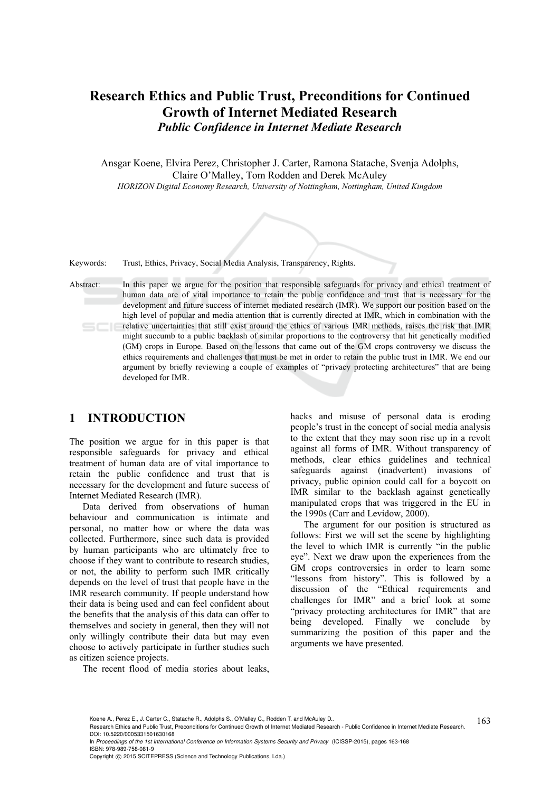# **Research Ethics and Public Trust, Preconditions for Continued Growth of Internet Mediated Research**  *Public Confidence in Internet Mediate Research*

Ansgar Koene, Elvira Perez, Christopher J. Carter, Ramona Statache, Svenja Adolphs, Claire O'Malley, Tom Rodden and Derek McAuley *HORIZON Digital Economy Research, University of Nottingham, Nottingham, United Kingdom* 



Keywords: Trust, Ethics, Privacy, Social Media Analysis, Transparency, Rights.

Abstract: In this paper we argue for the position that responsible safeguards for privacy and ethical treatment of human data are of vital importance to retain the public confidence and trust that is necessary for the development and future success of internet mediated research (IMR). We support our position based on the high level of popular and media attention that is currently directed at IMR, which in combination with the relative uncertainties that still exist around the ethics of various IMR methods, raises the risk that IMR might succumb to a public backlash of similar proportions to the controversy that hit genetically modified (GM) crops in Europe. Based on the lessons that came out of the GM crops controversy we discuss the ethics requirements and challenges that must be met in order to retain the public trust in IMR. We end our argument by briefly reviewing a couple of examples of "privacy protecting architectures" that are being developed for IMR.

### **1 INTRODUCTION**

The position we argue for in this paper is that responsible safeguards for privacy and ethical treatment of human data are of vital importance to retain the public confidence and trust that is necessary for the development and future success of Internet Mediated Research (IMR).

Data derived from observations of human behaviour and communication is intimate and personal, no matter how or where the data was collected. Furthermore, since such data is provided by human participants who are ultimately free to choose if they want to contribute to research studies, or not, the ability to perform such IMR critically depends on the level of trust that people have in the IMR research community. If people understand how their data is being used and can feel confident about the benefits that the analysis of this data can offer to themselves and society in general, then they will not only willingly contribute their data but may even choose to actively participate in further studies such as citizen science projects.

hacks and misuse of personal data is eroding people's trust in the concept of social media analysis to the extent that they may soon rise up in a revolt against all forms of IMR. Without transparency of methods, clear ethics guidelines and technical safeguards against (inadvertent) invasions of privacy, public opinion could call for a boycott on IMR similar to the backlash against genetically manipulated crops that was triggered in the EU in the 1990s (Carr and Levidow, 2000).

The argument for our position is structured as follows: First we will set the scene by highlighting the level to which IMR is currently "in the public eye". Next we draw upon the experiences from the GM crops controversies in order to learn some "lessons from history". This is followed by a discussion of the "Ethical requirements and challenges for IMR" and a brief look at some "privacy protecting architectures for IMR" that are being developed. Finally we conclude by summarizing the position of this paper and the arguments we have presented.

The recent flood of media stories about leaks,

In *Proceedings of the 1st International Conference on Information Systems Security and Privacy* (ICISSP-2015), pages 163-168 ISBN: 978-989-758-081-9

Copyright © 2015 SCITEPRESS (Science and Technology Publications, Lda.)

Koene A., Perez E., J. Carter C., Statache R., Adolphs S., O'Malley C., Rodden T. and McAuley D..<br>Research Ethics and Public Trust, Preconditions for Continued Growth of Internet Mediated Research - Public Confidence in I DOI: 10.5220/0005331501630168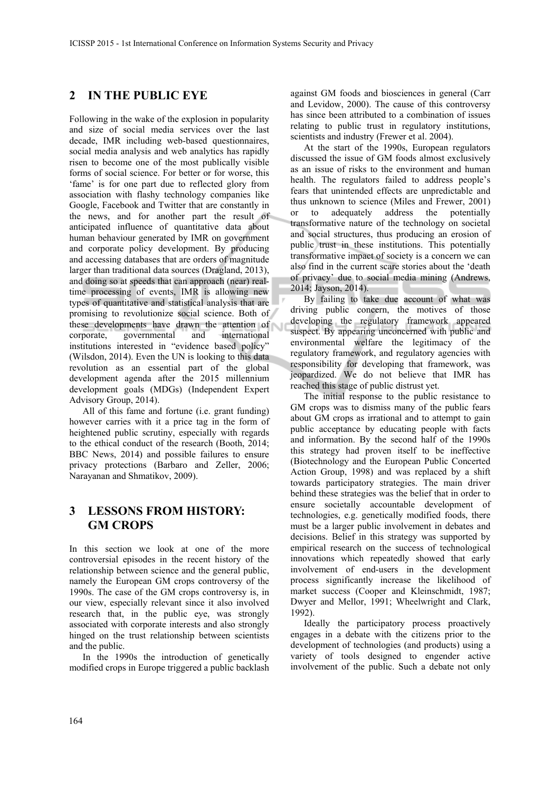## **2 IN THE PUBLIC EYE**

Following in the wake of the explosion in popularity and size of social media services over the last decade, IMR including web-based questionnaires, social media analysis and web analytics has rapidly risen to become one of the most publically visible forms of social science. For better or for worse, this 'fame' is for one part due to reflected glory from association with flashy technology companies like Google, Facebook and Twitter that are constantly in the news, and for another part the result of anticipated influence of quantitative data about human behaviour generated by IMR on government and corporate policy development. By producing and accessing databases that are orders of magnitude larger than traditional data sources (Dragland, 2013), and doing so at speeds that can approach (near) realtime processing of events, IMR is allowing new types of quantitative and statistical analysis that are promising to revolutionize social science. Both of these developments have drawn the attention of corporate, governmental and international institutions interested in "evidence based policy" (Wilsdon, 2014). Even the UN is looking to this data revolution as an essential part of the global development agenda after the 2015 millennium development goals (MDGs) (Independent Expert Advisory Group, 2014).

All of this fame and fortune (i.e. grant funding) however carries with it a price tag in the form of heightened public scrutiny, especially with regards to the ethical conduct of the research (Booth, 2014; BBC News, 2014) and possible failures to ensure privacy protections (Barbaro and Zeller, 2006; Narayanan and Shmatikov, 2009).

## **3 LESSONS FROM HISTORY: GM CROPS**

In this section we look at one of the more controversial episodes in the recent history of the relationship between science and the general public, namely the European GM crops controversy of the 1990s. The case of the GM crops controversy is, in our view, especially relevant since it also involved research that, in the public eye, was strongly associated with corporate interests and also strongly hinged on the trust relationship between scientists and the public.

In the 1990s the introduction of genetically modified crops in Europe triggered a public backlash

against GM foods and biosciences in general (Carr and Levidow, 2000). The cause of this controversy has since been attributed to a combination of issues relating to public trust in regulatory institutions, scientists and industry (Frewer et al. 2004).

At the start of the 1990s, European regulators discussed the issue of GM foods almost exclusively as an issue of risks to the environment and human health. The regulators failed to address people's fears that unintended effects are unpredictable and thus unknown to science (Miles and Frewer, 2001) or to adequately address the potentially transformative nature of the technology on societal and social structures, thus producing an erosion of public trust in these institutions. This potentially transformative impact of society is a concern we can also find in the current scare stories about the 'death of privacy' due to social media mining (Andrews, 2014; Jayson, 2014).

By failing to take due account of what was driving public concern, the motives of those developing the regulatory framework appeared suspect. By appearing unconcerned with public and environmental welfare the legitimacy of the regulatory framework, and regulatory agencies with responsibility for developing that framework, was jeopardized. We do not believe that IMR has reached this stage of public distrust yet.

The initial response to the public resistance to GM crops was to dismiss many of the public fears about GM crops as irrational and to attempt to gain public acceptance by educating people with facts and information. By the second half of the 1990s this strategy had proven itself to be ineffective (Biotechnology and the European Public Concerted Action Group, 1998) and was replaced by a shift towards participatory strategies. The main driver behind these strategies was the belief that in order to ensure societally accountable development of technologies, e.g. genetically modified foods, there must be a larger public involvement in debates and decisions. Belief in this strategy was supported by empirical research on the success of technological innovations which repeatedly showed that early involvement of end-users in the development process significantly increase the likelihood of market success (Cooper and Kleinschmidt, 1987; Dwyer and Mellor, 1991; Wheelwright and Clark, 1992).

Ideally the participatory process proactively engages in a debate with the citizens prior to the development of technologies (and products) using a variety of tools designed to engender active involvement of the public. Such a debate not only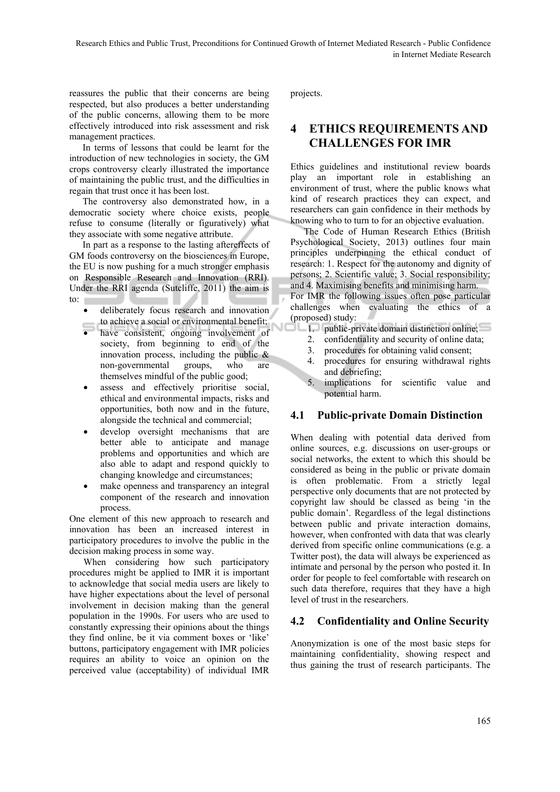reassures the public that their concerns are being respected, but also produces a better understanding of the public concerns, allowing them to be more effectively introduced into risk assessment and risk management practices.

In terms of lessons that could be learnt for the introduction of new technologies in society, the GM crops controversy clearly illustrated the importance of maintaining the public trust, and the difficulties in regain that trust once it has been lost.

The controversy also demonstrated how, in a democratic society where choice exists, people refuse to consume (literally or figuratively) what they associate with some negative attribute.

In part as a response to the lasting aftereffects of GM foods controversy on the biosciences in Europe, the EU is now pushing for a much stronger emphasis on Responsible Research and Innovation (RRI). Under the RRI agenda (Sutcliffe, 2011) the aim is to:  $\Box$ 

- deliberately focus research and innovation to achieve a social or environmental benefit;
- have consistent, ongoing involvement of society, from beginning to end of the innovation process, including the public  $\&$ non-governmental groups, who are themselves mindful of the public good;
- assess and effectively prioritise social, ethical and environmental impacts, risks and opportunities, both now and in the future, alongside the technical and commercial;
- develop oversight mechanisms that are better able to anticipate and manage problems and opportunities and which are also able to adapt and respond quickly to changing knowledge and circumstances;
- make openness and transparency an integral component of the research and innovation process.

One element of this new approach to research and innovation has been an increased interest in participatory procedures to involve the public in the decision making process in some way.

When considering how such participatory procedures might be applied to IMR it is important to acknowledge that social media users are likely to have higher expectations about the level of personal involvement in decision making than the general population in the 1990s. For users who are used to constantly expressing their opinions about the things they find online, be it via comment boxes or 'like' buttons, participatory engagement with IMR policies requires an ability to voice an opinion on the perceived value (acceptability) of individual IMR

projects.

## **4 ETHICS REQUIREMENTS AND CHALLENGES FOR IMR**

Ethics guidelines and institutional review boards play an important role in establishing an environment of trust, where the public knows what kind of research practices they can expect, and researchers can gain confidence in their methods by knowing who to turn to for an objective evaluation.

The Code of Human Research Ethics (British Psychological Society, 2013) outlines four main principles underpinning the ethical conduct of research: 1. Respect for the autonomy and dignity of persons; 2. Scientific value; 3. Social responsibility; and 4. Maximising benefits and minimising harm. For IMR the following issues often pose particular challenges when evaluating the ethics of a (proposed) study:

- 1. public-private domain distinction online;
- 2. confidentiality and security of online data;
- 3. procedures for obtaining valid consent;
- 4. procedures for ensuring withdrawal rights and debriefing;
- 5. implications for scientific value and potential harm.

#### **4.1 Public-private Domain Distinction**

When dealing with potential data derived from online sources, e.g. discussions on user-groups or social networks, the extent to which this should be considered as being in the public or private domain is often problematic. From a strictly legal perspective only documents that are not protected by copyright law should be classed as being 'in the public domain'. Regardless of the legal distinctions between public and private interaction domains, however, when confronted with data that was clearly derived from specific online communications (e.g. a Twitter post), the data will always be experienced as intimate and personal by the person who posted it. In order for people to feel comfortable with research on such data therefore, requires that they have a high level of trust in the researchers.

### **4.2 Confidentiality and Online Security**

Anonymization is one of the most basic steps for maintaining confidentiality, showing respect and thus gaining the trust of research participants. The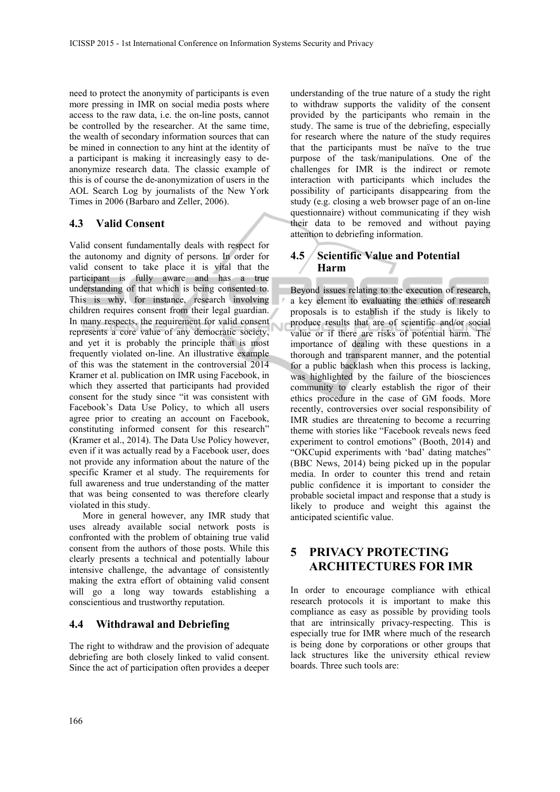need to protect the anonymity of participants is even more pressing in IMR on social media posts where access to the raw data, i.e. the on-line posts, cannot be controlled by the researcher. At the same time, the wealth of secondary information sources that can be mined in connection to any hint at the identity of a participant is making it increasingly easy to deanonymize research data. The classic example of this is of course the de-anonymization of users in the AOL Search Log by journalists of the New York Times in 2006 (Barbaro and Zeller, 2006).

#### **4.3 Valid Consent**

Valid consent fundamentally deals with respect for the autonomy and dignity of persons. In order for valid consent to take place it is vital that the participant is fully aware and has a true understanding of that which is being consented to. This is why, for instance, research involving children requires consent from their legal guardian. In many respects, the requirement for valid consent represents a core value of any democratic society, and yet it is probably the principle that is most frequently violated on-line. An illustrative example of this was the statement in the controversial 2014 Kramer et al. publication on IMR using Facebook, in which they asserted that participants had provided consent for the study since "it was consistent with Facebook's Data Use Policy, to which all users agree prior to creating an account on Facebook, constituting informed consent for this research" (Kramer et al., 2014). The Data Use Policy however, even if it was actually read by a Facebook user, does not provide any information about the nature of the specific Kramer et al study. The requirements for full awareness and true understanding of the matter that was being consented to was therefore clearly violated in this study.

More in general however, any IMR study that uses already available social network posts is confronted with the problem of obtaining true valid consent from the authors of those posts. While this clearly presents a technical and potentially labour intensive challenge, the advantage of consistently making the extra effort of obtaining valid consent will go a long way towards establishing a conscientious and trustworthy reputation.

### **4.4 Withdrawal and Debriefing**

The right to withdraw and the provision of adequate debriefing are both closely linked to valid consent. Since the act of participation often provides a deeper

understanding of the true nature of a study the right to withdraw supports the validity of the consent provided by the participants who remain in the study. The same is true of the debriefing, especially for research where the nature of the study requires that the participants must be naïve to the true purpose of the task/manipulations. One of the challenges for IMR is the indirect or remote interaction with participants which includes the possibility of participants disappearing from the study (e.g. closing a web browser page of an on-line questionnaire) without communicating if they wish their data to be removed and without paying attention to debriefing information.

### **4.5 Scientific Value and Potential Harm**

Beyond issues relating to the execution of research, a key element to evaluating the ethics of research proposals is to establish if the study is likely to produce results that are of scientific and/or social value or if there are risks of potential harm. The importance of dealing with these questions in a thorough and transparent manner, and the potential for a public backlash when this process is lacking, was highlighted by the failure of the biosciences community to clearly establish the rigor of their ethics procedure in the case of GM foods. More recently, controversies over social responsibility of IMR studies are threatening to become a recurring theme with stories like "Facebook reveals news feed experiment to control emotions" (Booth, 2014) and "OKCupid experiments with 'bad' dating matches" (BBC News, 2014) being picked up in the popular media. In order to counter this trend and retain public confidence it is important to consider the probable societal impact and response that a study is likely to produce and weight this against the anticipated scientific value.

## **5 PRIVACY PROTECTING ARCHITECTURES FOR IMR**

In order to encourage compliance with ethical research protocols it is important to make this compliance as easy as possible by providing tools that are intrinsically privacy-respecting. This is especially true for IMR where much of the research is being done by corporations or other groups that lack structures like the university ethical review boards. Three such tools are: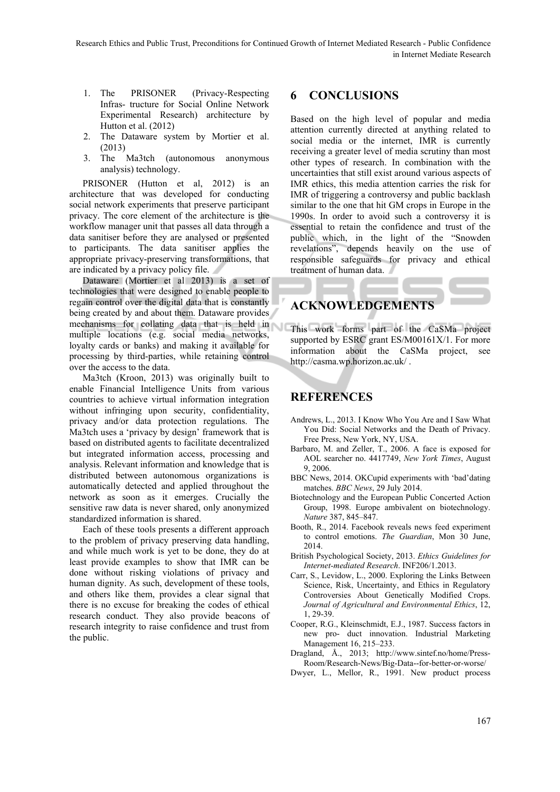- 1. The PRISONER (Privacy-Respecting Infras- tructure for Social Online Network Experimental Research) architecture by Hutton et al. (2012)
- 2. The Dataware system by Mortier et al. (2013)
- 3. The Ma3tch (autonomous anonymous analysis) technology.

PRISONER (Hutton et al, 2012) is an architecture that was developed for conducting social network experiments that preserve participant privacy. The core element of the architecture is the workflow manager unit that passes all data through a data sanitiser before they are analysed or presented to participants. The data sanitiser applies the appropriate privacy-preserving transformations, that are indicated by a privacy policy file.

Dataware (Mortier et al 2013) is a set of technologies that were designed to enable people to regain control over the digital data that is constantly being created by and about them. Dataware provides mechanisms for collating data that is held in multiple locations (e.g. social media networks, loyalty cards or banks) and making it available for processing by third-parties, while retaining control over the access to the data.

Ma3tch (Kroon, 2013) was originally built to enable Financial Intelligence Units from various countries to achieve virtual information integration without infringing upon security, confidentiality, privacy and/or data protection regulations. The Ma3tch uses a 'privacy by design' framework that is based on distributed agents to facilitate decentralized but integrated information access, processing and analysis. Relevant information and knowledge that is distributed between autonomous organizations is automatically detected and applied throughout the network as soon as it emerges. Crucially the sensitive raw data is never shared, only anonymized standardized information is shared.

Each of these tools presents a different approach to the problem of privacy preserving data handling, and while much work is yet to be done, they do at least provide examples to show that IMR can be done without risking violations of privacy and human dignity. As such, development of these tools, and others like them, provides a clear signal that there is no excuse for breaking the codes of ethical research conduct. They also provide beacons of research integrity to raise confidence and trust from the public.

# **6 CONCLUSIONS**

Based on the high level of popular and media attention currently directed at anything related to social media or the internet, IMR is currently receiving a greater level of media scrutiny than most other types of research. In combination with the uncertainties that still exist around various aspects of IMR ethics, this media attention carries the risk for IMR of triggering a controversy and public backlash similar to the one that hit GM crops in Europe in the 1990s. In order to avoid such a controversy it is essential to retain the confidence and trust of the public which, in the light of the "Snowden revelations", depends heavily on the use of responsible safeguards for privacy and ethical treatment of human data.

## **ACKNOWLEDGEMENTS**

This work forms part of the CaSMa project supported by ESRC grant ES/M00161X/1. For more information about the CaSMa project, see http://casma.wp.horizon.ac.uk/ .

# **REFERENCES**

- Andrews, L., 2013. I Know Who You Are and I Saw What You Did: Social Networks and the Death of Privacy. Free Press, New York, NY, USA.
- Barbaro, M. and Zeller, T., 2006. A face is exposed for AOL searcher no. 4417749, *New York Times*, August 9, 2006.
- BBC News, 2014. OKCupid experiments with 'bad'dating matches. *BBC News*, 29 July 2014.
- Biotechnology and the European Public Concerted Action Group, 1998. Europe ambivalent on biotechnology. *Nature* 387, 845–847.
- Booth, R., 2014. Facebook reveals news feed experiment to control emotions. *The Guardian*, Mon 30 June, 2014.
- British Psychological Society, 2013. *Ethics Guidelines for Internet-mediated Research*. INF206/1.2013.
- Carr, S., Levidow, L., 2000. Exploring the Links Between Science, Risk, Uncertainty, and Ethics in Regulatory Controversies About Genetically Modified Crops. *Journal of Agricultural and Environmental Ethics*, 12, 1, 29-39.
- Cooper, R.G., Kleinschmidt, E.J., 1987. Success factors in new pro- duct innovation. Industrial Marketing Management 16, 215–233.
- Dragland, Å., 2013; http://www.sintef.no/home/Press-Room/Research-News/Big-Data--for-better-or-worse/
- Dwyer, L., Mellor, R., 1991. New product process